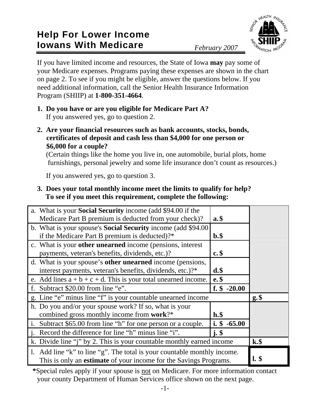## **Help For Lower Income Iowans With Medicare** *February 2007*



If you have limited income and resources, the State of Iowa **may** pay some of your Medicare expenses. Programs paying these expenses are shown in the chart on page 2. To see if you might be eligible, answer the questions below. If you need additional information, call the Senior Health Insurance Information Program (SHIIP) at **1-800-351-4664**.

- **1. Do you have or are you eligible for Medicare Part A?** If you answered yes, go to question 2.
- **2. Are your financial resources such as bank accounts, stocks, bonds, certificates of deposit and cash less than \$4,000 for one person or \$6,000 for a couple?**

 (Certain things like the home you live in, one automobile, burial plots, home furnishings, personal jewelry and some life insurance don't count as resources.)

If you answered yes, go to question 3.

**3. Does your total monthly income meet the limits to qualify for help? To see if you meet this requirement, complete the following:** 

| a. What is your <b>Social Security</b> income (add \$94.00 if the<br>Medicare Part B premium is deducted from your check)?                           | $a.\$                          |         |
|------------------------------------------------------------------------------------------------------------------------------------------------------|--------------------------------|---------|
| b. What is your spouse's <b>Social Security</b> income (add \$94.00)<br>if the Medicare Part B premium is deducted)?*                                | $\mathbf{b.}\$                 |         |
| c. What is your <b>other unearned</b> income (pensions, interest<br>payments, veteran's benefits, dividends, etc.)?                                  | $c.\$                          |         |
| d. What is your spouse's other unearned income (pensions,<br>interest payments, veteran's benefits, dividends, etc.)?*                               | $d.\$                          |         |
| e. Add lines $a + b + c + d$ . This is your total unearned income.                                                                                   | $e.$ \$<br>f. $$ -20.00$       |         |
| f. Subtract \$20.00 from line "e".                                                                                                                   |                                |         |
| g. Line "e" minus line "f" is your countable unearned income                                                                                         |                                | $g,$ \$ |
| h. Do you and/or your spouse work? If so, what is your<br>combined gross monthly income from work?*                                                  | $\mathbf{h}.\mathbf{\$}$       |         |
| i. Subtract \$65.00 from line "h" for one person or a couple.                                                                                        | i. $$ -65.00$                  |         |
| Record the difference for line "h" minus line "i".                                                                                                   | $\mathbf{i} \cdot \mathbf{\$}$ |         |
| k. Divide line "j" by 2. This is your countable monthly earned income                                                                                |                                | $k.\$   |
| 1. Add line "k" to line "g". The total is your countable monthly income.<br>This is only an <b>estimate</b> of your income for the Savings Programs. | $1.$ \$                        |         |

**\***Special rules apply if your spouse is not on Medicare. For more information contact your county Department of Human Services office shown on the next page.